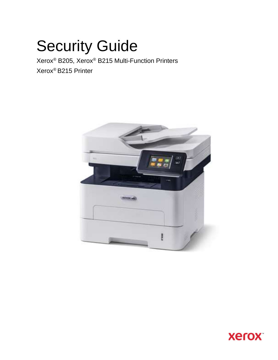# Security Guide

Xerox® B205, Xerox® B215 Multi-Function Printers Xerox® B215 Printer



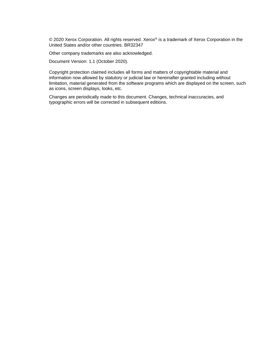© 2020 Xerox Corporation. All rights reserved. Xerox® is a trademark of Xerox Corporation in the United States and/or other countries. BR32347

Other company trademarks are also acknowledged.

Document Version: 1.1 (October 2020).

Copyright protection claimed includes all forms and matters of copyrightable material and information now allowed by statutory or judicial law or hereinafter granted including without limitation, material generated from the software programs which are displayed on the screen, such as icons, screen displays, looks, etc.

Changes are periodically made to this document. Changes, technical inaccuracies, and typographic errors will be corrected in subsequent editions.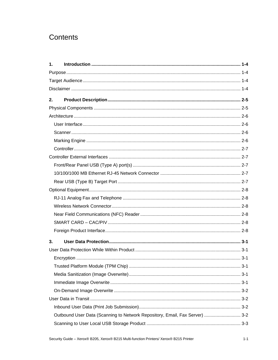# Contents

| $\mathbf{1}$ . |                                                                             |  |
|----------------|-----------------------------------------------------------------------------|--|
|                |                                                                             |  |
|                |                                                                             |  |
|                |                                                                             |  |
| 2.             |                                                                             |  |
|                |                                                                             |  |
|                |                                                                             |  |
|                |                                                                             |  |
|                |                                                                             |  |
|                |                                                                             |  |
|                |                                                                             |  |
|                |                                                                             |  |
|                |                                                                             |  |
|                |                                                                             |  |
|                |                                                                             |  |
|                |                                                                             |  |
|                |                                                                             |  |
|                |                                                                             |  |
|                |                                                                             |  |
|                |                                                                             |  |
|                |                                                                             |  |
| 3.             |                                                                             |  |
|                |                                                                             |  |
|                |                                                                             |  |
|                |                                                                             |  |
|                |                                                                             |  |
|                |                                                                             |  |
|                |                                                                             |  |
|                |                                                                             |  |
|                |                                                                             |  |
|                | Outbound User Data (Scanning to Network Repository, Email, Fax Server)  3-2 |  |
|                |                                                                             |  |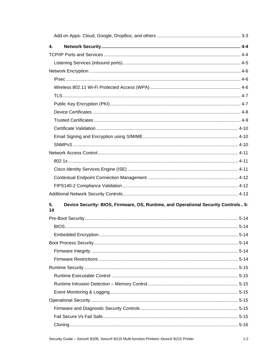| 4.       |                                                                                    |          |
|----------|------------------------------------------------------------------------------------|----------|
|          |                                                                                    |          |
|          |                                                                                    |          |
|          |                                                                                    |          |
|          |                                                                                    |          |
|          |                                                                                    |          |
|          |                                                                                    |          |
|          |                                                                                    |          |
|          |                                                                                    |          |
|          |                                                                                    |          |
|          |                                                                                    |          |
|          |                                                                                    |          |
|          |                                                                                    |          |
|          |                                                                                    |          |
|          |                                                                                    |          |
|          |                                                                                    |          |
|          |                                                                                    |          |
|          |                                                                                    |          |
|          |                                                                                    |          |
| 5.<br>14 | Device Security: BIOS, Firmware, OS, Runtime, and Operational Security Controls 5- |          |
|          |                                                                                    |          |
|          |                                                                                    |          |
|          |                                                                                    | $5 - 14$ |
|          |                                                                                    |          |
|          |                                                                                    |          |
|          |                                                                                    |          |
|          |                                                                                    |          |
|          |                                                                                    |          |
|          |                                                                                    |          |
|          |                                                                                    |          |
|          |                                                                                    |          |
|          |                                                                                    |          |
|          |                                                                                    |          |
|          |                                                                                    |          |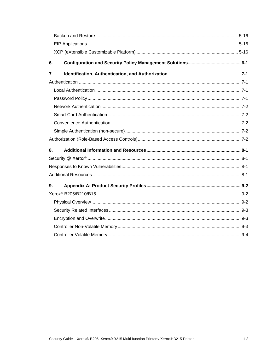| 6. |  |
|----|--|
| 7. |  |
|    |  |
|    |  |
|    |  |
|    |  |
|    |  |
|    |  |
|    |  |
|    |  |
| 8. |  |
|    |  |
|    |  |
|    |  |
| 9. |  |
|    |  |
|    |  |
|    |  |
|    |  |
|    |  |
|    |  |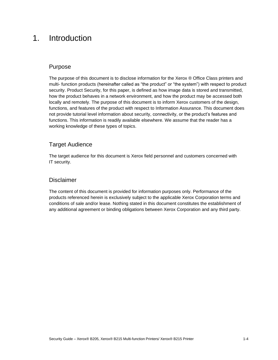# <span id="page-5-0"></span>1. Introduction

# <span id="page-5-1"></span>Purpose

The purpose of this document is to disclose information for the Xerox ® Office Class printers and multi- function products (hereinafter called as "the product" or "the system") with respect to product security. Product Security, for this paper, is defined as how image data is stored and transmitted, how the product behaves in a network environment, and how the product may be accessed both locally and remotely. The purpose of this document is to inform Xerox customers of the design, functions, and features of the product with respect to Information Assurance. This document does not provide tutorial level information about security, connectivity, or the product's features and functions. This information is readily available elsewhere. We assume that the reader has a working knowledge of these types of topics.

# <span id="page-5-2"></span>Target Audience

The target audience for this document is Xerox field personnel and customers concerned with IT security.

### <span id="page-5-3"></span>Disclaimer

The content of this document is provided for information purposes only. Performance of the products referenced herein is exclusively subject to the applicable Xerox Corporation terms and conditions of sale and/or lease. Nothing stated in this document constitutes the establishment of any additional agreement or binding obligations between Xerox Corporation and any third party.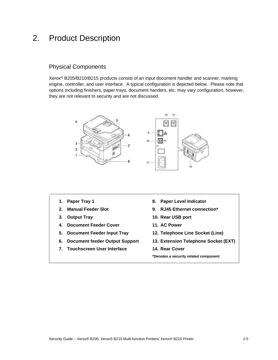# <span id="page-6-0"></span>2. Product Description

# <span id="page-6-1"></span>Physical Components

Xerox® B205/B210/B215 products consist of an input document handler and scanner, marking engine, controller, and user interface. A typical configuration is depicted below. Please note that options including finishers, paper trays, document handers, etc. may vary configuration, however, they are not relevant to security and are not discussed.



- **1. Paper Tray 1**
- **2. Manual Feeder Slot**
- **3. Output Tray**
- **4. Document Feeder Cover**
- **5. Document Feeder Input Tray**
- **6. Document feeder Output Support**
- **7. Touchscreen User Interface**
- **8. Paper Level Indicator**
- **9. RJ45 Ethernet connection\***
- **10. Rear USB port**
- **11. AC Power**
- **12. Telephone Line Socket (Line)**
- **13. Extension Telephone Socket (EXT)**
- **14. Rear Cover**

**\*Denotes a security related component**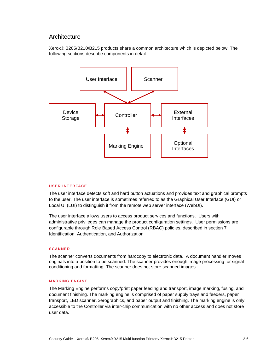### <span id="page-7-0"></span>**Architecture**

Xerox® B205/B210/B215 products share a common architecture which is depicted below. The following sections describe components in detail.



#### <span id="page-7-1"></span>**USER INTERFACE**

The user interface detects soft and hard button actuations and provides text and graphical prompts to the user. The user interface is sometimes referred to as the Graphical User Interface (GUI) or Local UI (LUI) to distinguish it from the remote web server interface (WebUI).

The user interface allows users to access product services and functions. Users with administrative privileges can manage the product configuration settings. User permissions are configurable through Role Based Access Control (RBAC) policies, described in section 7 Identification, Authentication, and Authorization

#### <span id="page-7-2"></span>**SCANNER**

The scanner converts documents from hardcopy to electronic data. A document handler moves originals into a position to be scanned. The scanner provides enough image processing for signal conditioning and formatting. The scanner does not store scanned images.

#### <span id="page-7-3"></span>**MARKING ENGINE**

The Marking Engine performs copy/print paper feeding and transport, image marking, fusing, and document finishing. The marking engine is comprised of paper supply trays and feeders, paper transport, LED scanner, xerographics, and paper output and finishing. The marking engine is only accessible to the Controller via inter-chip communication with no other access and does not store user data.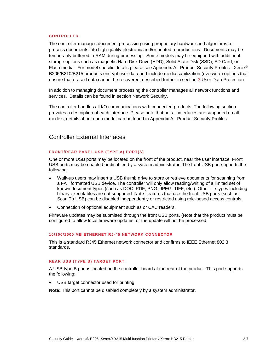#### <span id="page-8-0"></span>**CONTROLLER**

The controller manages document processing using proprietary hardware and algorithms to process documents into high-quality electronic and/or printed reproductions. Documents may be temporarily buffered in RAM during processing. Some models may be equipped with additional storage options such as magnetic Hard Disk Drive (HDD), Solid State Disk (SSD), SD Card, or Flash media. For model specific details please see Appendix A: Product Security Profiles. Xerox® B205/B210/B215 products encrypt user data and include media sanitization (overwrite) options that ensure that erased data cannot be recovered, described further in section 3 User Data Protection.

In addition to managing document processing the controller manages all network functions and services. Details can be found in section Network Security.

The controller handles all I/O communications with connected products. The following section provides a description of each interface. Please note that not all interfaces are supported on all models; details about each model can be found in Appendix A: Product Security Profiles.

# <span id="page-8-1"></span>Controller External Interfaces

#### <span id="page-8-2"></span>**FRONT/REAR PANEL USB (TYPE A) PORT(S)**

One or more USB ports may be located on the front of the product, near the user interface. Front USB ports may be enabled or disabled by a system administrator. The front USB port supports the following:

- Walk-up users may insert a USB thumb drive to store or retrieve documents for scanning from a FAT formatted USB device. The controller will only allow reading/writing of a limited set of known document types (such as DOC, PDF, PNG, JPEG, TIFF, etc.). Other file types including binary executables are not supported. Note: features that use the front USB ports (such as Scan To USB) can be disabled independently or restricted using role-based access controls.
- Connection of optional equipment such as or CAC readers.

Firmware updates may be submitted through the front USB ports. (Note that the product must be configured to allow local firmware updates, or the update will not be processed.

#### <span id="page-8-3"></span>**10/100/1000 MB ETHERNET RJ -45 NETWORK CONNECTOR**

This is a standard RJ45 Ethernet network connector and confirms to IEEE Ethernet 802.3 standards.

#### <span id="page-8-4"></span>**REAR USB (TYPE B) TARGET PORT**

A USB type B port is located on the controller board at the rear of the product. This port supports the following:

USB target connector used for printing

**Note:** This port cannot be disabled completely by a system administrator.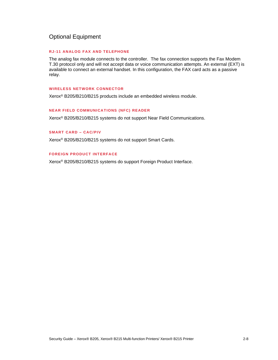# <span id="page-9-0"></span>Optional Equipment

#### <span id="page-9-1"></span>**RJ-11 ANALOG FAX AND TELEPHONE**

The analog fax module connects to the controller. The fax connection supports the Fax Modem T.30 protocol only and will not accept data or voice communication attempts. An external (EXT) is available to connect an external handset. In this configuration, the FAX card acts as a passive relay.

#### <span id="page-9-2"></span>**WIRELESS NETWORK CONNECTOR**

Xerox® B205/B210/B215 products include an embedded wireless module.

#### <span id="page-9-3"></span>**NEAR FIELD COMMUNICATIONS (NFC) READER**

Xerox® B205/B210/B215 systems do not support Near Field Communications.

#### <span id="page-9-4"></span>**SMART CARD – CAC/PIV**

Xerox® B205/B210/B215 systems do not support Smart Cards.

#### <span id="page-9-5"></span>**FOREIGN PRODUCT INTERFACE**

Xerox® B205/B210/B215 systems do support Foreign Product Interface.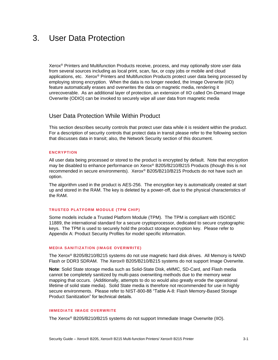# <span id="page-10-0"></span>3. User Data Protection

Xerox® Printers and Multifunction Products receive, process, and may optionally store user data from several sources including as local print, scan, fax, or copy jobs or mobile and cloud applications, etc. Xerox® Printers and Multifunction Products protect user data being processed by employing strong encryption. When the data is no longer needed, the Image Overwrite (IIO) feature automatically erases and overwrites the data on magnetic media, rendering it unrecoverable. As an additional layer of protection, an extension of IIO called On-Demand Image Overwrite (ODIO) can be invoked to securely wipe all user data from magnetic media

### <span id="page-10-1"></span>User Data Protection While Within Product

This section describes security controls that protect user data while it is resident within the product. For a description of security controls that protect data in transit please refer to the following section that discusses data in transit; also, the Network Security section of this document.

#### <span id="page-10-2"></span>**ENCRYPTION**

All user data being processed or stored to the product is encrypted by default. Note that encryption may be disabled to enhance performance on Xerox® B205/B210/B215 Products (though this is not recommended in secure environments). Xerox® B205/B210/B215 Products do not have such an option.

The algorithm used in the product is AES-256. The encryption key is automatically created at start up and stored in the RAM. The key is deleted by a power-off, due to the physical characteristics of the RAM.

#### <span id="page-10-3"></span>**TRUSTED PLATFORM MODULE (TPM CHIP)**

Some models include a Trusted Platform Module (TPM). The TPM is compliant with ISO/IEC 11889, the international standard for a secure cryptoprocessor, dedicated to secure cryptographic keys. The TPM is used to securely hold the product storage encryption key. Please refer to Appendix A: Product Security Profiles for model specific information.

#### <span id="page-10-4"></span>**MEDIA SANITIZATION (IMAGE OVERWRITE)**

The Xerox® B205/B210/B215 systems do not use magnetic hard disk drives. All Memory is NAND Flash or DDR3 SDRAM. The Xerox® B205/B210/B215 systems do not support Image Overwrite.

**Note**: Solid State storage media such as Solid-State Disk, eMMC, SD-Card, and Flash media cannot be completely sanitized by multi-pass overwriting methods due to the memory wear mapping that occurs. (Additionally, attempts to do so would also greatly erode the operational lifetime of solid state media). Solid State media is therefore not recommended for use in highly secure environments. Please refer to NIST-800-88 "Table A-8: Flash Memory-Based Storage Product Sanitization" for technical details.

#### <span id="page-10-5"></span>**IMMEDIATE IMAGE OVERWRITE**

The Xerox® B205/B210/B215 systems do not support Immediate Image Overwrite (IIO).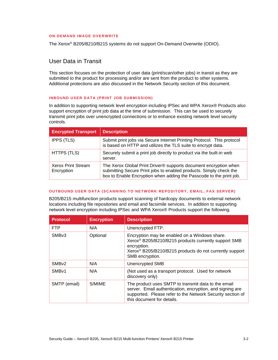#### <span id="page-11-0"></span>**ON-DEMAND IMAGE OVERWRITE**

<span id="page-11-1"></span>The Xerox® B205/B210/B215 systems do not support On-Demand Overwrite (ODIO).

# User Data in Transit

This section focuses on the protection of user data (print/scan/other jobs) in transit as they are submitted to the product for processing and/or are sent from the product to other systems. Additional protections are also discussed in the Network Security section of this document.

#### <span id="page-11-2"></span>**INBOUND USER DATA (PRINT JOB SUBMISSION)**

In addition to supporting network level encryption including IPSec and WPA Xerox® Products also support encryption of print job data at the time of submission. This can be used to securely transmit print jobs over unencrypted connections or to enhance existing network level security controls.

| <b>Encrypted Transport</b>              | <b>Description</b>                                                                                                                                                                                            |
|-----------------------------------------|---------------------------------------------------------------------------------------------------------------------------------------------------------------------------------------------------------------|
| <b>IPPS (TLS)</b>                       | Submit print jobs via Secure Internet Printing Protocol. This protocol<br>is based on HTTP and utilizes the TLS suite to encrypt data.                                                                        |
| HTTPS (TLS)                             | Securely submit a print job directly to product via the built-in web<br>server.                                                                                                                               |
| <b>Xerox Print Stream</b><br>Encryption | The Xerox Global Print Driver® supports document encryption when<br>submitting Secure Print jobs to enabled products. Simply check the<br>box to Enable Encryption when adding the Passcode to the print job. |

#### <span id="page-11-3"></span>**OUTBOUND USER DATA (SCANNING TO NETWORK REPOSITORY, EMAIL, FAX SERVER)**

B205/B215 multifunction products support scanning of hardcopy documents to external network locations including file repositories and email and facsimile services. In addition to supporting network level encryption including IPSec and WPA Xerox® Products support the following.

| <b>Protocol</b>   | <b>Encryption</b> | <b>Description</b>                                                                                                                                                                                                         |
|-------------------|-------------------|----------------------------------------------------------------------------------------------------------------------------------------------------------------------------------------------------------------------------|
| <b>FTP</b>        | N/A               | Unencrypted FTP.                                                                                                                                                                                                           |
| SMB <sub>v3</sub> | Optional          | Encryption may be enabled on a Windows share.<br>Xerox <sup>®</sup> B205/B210/B215 products currently support SMB<br>encryption.<br>Xerox <sup>®</sup> B205/B210/B215 products do not currently support<br>SMB encryption. |
| SMB <sub>v2</sub> | N/A               | <b>Unencrypted SMB</b>                                                                                                                                                                                                     |
| SMB <sub>v1</sub> | N/A               | (Not used as a transport protocol. Used for network<br>discovery only)                                                                                                                                                     |
| SMTP (email)      | S/MIME            | The product uses SMTP to transmit data to the email<br>server. Email authentication, encryption, and signing are<br>supported. Please refer to the Network Security section of<br>this document for details.               |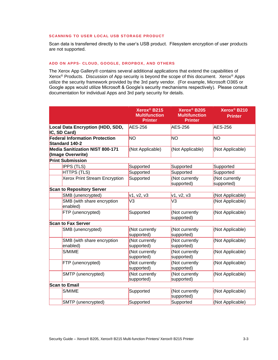#### <span id="page-12-0"></span>**SCANNING TO USER LOCAL USB STORAGE PRODUCT**

Scan data is transferred directly to the user's USB product. Filesystem encryption of user products are not supported.

#### <span id="page-12-1"></span>**ADD ON APPS- CLOUD, GOOGLE, DROPBOX, AND OTHERS**

The Xerox App Gallery® contains several additional applications that extend the capabilities of Xerox® Products. Discussion of App security is beyond the scope of this document. Xerox® Apps utilize the security framework provided by the 3rd party vendor. (For example, Microsoft O365 or Google apps would utilize Microsoft & Google's security mechanisms respectively). Please consult documentation for individual Apps and 3rd party security for details.

|                                                                | Xerox <sup>®</sup> B215<br><b>Multifunction</b><br><b>Printer</b> | Xerox <sup>®</sup> B205<br><b>Multifunction</b><br><b>Printer</b> | Xerox <sup>®</sup> B210<br><b>Printer</b> |
|----------------------------------------------------------------|-------------------------------------------------------------------|-------------------------------------------------------------------|-------------------------------------------|
| Local Data Encryption (HDD, SDD,<br>IC, SD Card)               | AES-256                                                           | <b>AES-256</b>                                                    | <b>AES-256</b>                            |
| <b>Federal Information Protection</b><br><b>Standard 140-2</b> | <b>NO</b>                                                         | <b>NO</b>                                                         | <b>NO</b>                                 |
| <b>Media Sanitization NIST 800-171</b><br>(Image Overwrite)    | (Not Applicable)                                                  | (Not Applicable)                                                  | (Not Applicable)                          |
| <b>Print Submission</b>                                        |                                                                   |                                                                   |                                           |
| <b>IPPS (TLS)</b>                                              | Supported                                                         | Supported                                                         | Supported                                 |
| <b>HTTPS (TLS)</b>                                             | Supported                                                         | Supported                                                         | Supported                                 |
| Xerox Print Stream Encryption                                  | Supported                                                         | (Not currently<br>supported)                                      | (Not currently<br>supported)              |
| <b>Scan to Repository Server</b>                               |                                                                   |                                                                   |                                           |
| SMB (unencrypted)                                              | v1, v2, v3                                                        | v1, v2, v3                                                        | (Not Applicable)                          |
| SMB (with share encryption<br>enabled)                         | V <sub>3</sub>                                                    | V <sub>3</sub>                                                    | (Not Applicable)                          |
| FTP (unencrypted)                                              | Supported                                                         | (Not currently<br>supported)                                      | (Not Applicable)                          |
| <b>Scan to Fax Server</b>                                      |                                                                   |                                                                   |                                           |
| SMB (unencrypted)                                              | (Not currently<br>supported)                                      | (Not currently<br>supported)                                      | (Not Applicable)                          |
| SMB (with share encryption<br>enabled)                         | (Not currently<br>supported)                                      | (Not currently<br>supported)                                      | (Not Applicable)                          |
| S/MIME                                                         | (Not currently<br>supported)                                      | (Not currently<br>supported)                                      | (Not Applicable)                          |
| FTP (unencrypted)                                              | (Not currently<br>supported)                                      | (Not currently<br>supported)                                      | (Not Applicable)                          |
| SMTP (unencrypted)                                             | (Not currently<br>supported)                                      | (Not currently<br>supported)                                      | (Not Applicable)                          |
| <b>Scan to Email</b>                                           |                                                                   |                                                                   |                                           |
| S/MIME                                                         | Supported                                                         | (Not currently<br>supported)                                      | (Not Applicable)                          |
| SMTP (unencrypted)                                             | Supported                                                         | Supported                                                         | (Not Applicable)                          |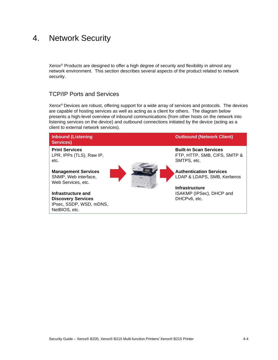# <span id="page-13-0"></span>4. Network Security

Xerox® Products are designed to offer a high degree of security and flexibility in almost any network environment. This section describes several aspects of the product related to network security.

# <span id="page-13-1"></span>TCP/IP Ports and Services

Xerox® Devices are robust, offering support for a wide array of services and protocols. The devices are capable of hosting services as well as acting as a client for others. The diagram below presents a high-level overview of inbound communications (from other hosts on the network into listening services on the device) and outbound connections initiated by the device (acting as a client to external network services).

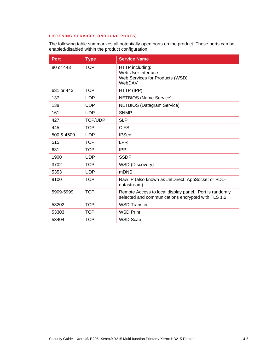#### <span id="page-14-0"></span>**LISTENING SERVICES (INBOUND PORTS)**

The following table summarizes all potentially open ports on the product. These ports can be enabled/disabled within the product configuration.

| Port       | <b>Type</b>    | <b>Service Name</b>                                                                                           |
|------------|----------------|---------------------------------------------------------------------------------------------------------------|
| 80 or 443  | <b>TCP</b>     | HTTP including:<br>Web User Interface<br>Web Services for Products (WSD)<br>WebDAV                            |
| 631 or 443 | <b>TCP</b>     | HTTP (IPP)                                                                                                    |
| 137        | <b>UDP</b>     | <b>NETBIOS</b> (Name Service)                                                                                 |
| 138        | <b>UDP</b>     | <b>NETBIOS</b> (Datagram Service)                                                                             |
| 161        | <b>UDP</b>     | <b>SNMP</b>                                                                                                   |
| 427        | <b>TCP/UDP</b> | <b>SLP</b>                                                                                                    |
| 445        | <b>TCP</b>     | <b>CIFS</b>                                                                                                   |
| 500 & 4500 | <b>UDP</b>     | <b>IPSec</b>                                                                                                  |
| 515        | <b>TCP</b>     | <b>LPR</b>                                                                                                    |
| 631        | <b>TCP</b>     | <b>IPP</b>                                                                                                    |
| 1900       | <b>UDP</b>     | <b>SSDP</b>                                                                                                   |
| 3702       | <b>TCP</b>     | <b>WSD</b> (Discovery)                                                                                        |
| 5353       | <b>UDP</b>     | <b>mDNS</b>                                                                                                   |
| 9100       | <b>TCP</b>     | Raw IP (also known as JetDirect, AppSocket or PDL-<br>datastream)                                             |
| 5909-5999  | <b>TCP</b>     | Remote Access to local display panel. Port is randomly<br>selected and communications encrypted with TLS 1.2. |
| 53202      | <b>TCP</b>     | <b>WSD Transfer</b>                                                                                           |
| 53303      | <b>TCP</b>     | <b>WSD Print</b>                                                                                              |
| 53404      | <b>TCP</b>     | <b>WSD Scan</b>                                                                                               |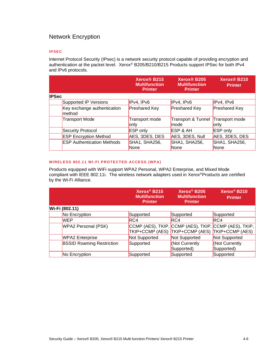# <span id="page-15-0"></span>Network Encryption

#### <span id="page-15-1"></span>**IPSEC**

Internet Protocol Security (IPsec) is a network security protocol capable of providing encryption and authentication at the packet level. Xerox® B205/B210/B215 Products support IPSec for both IPv4 and IPv6 protocols.

|              |                                       | Xerox <sup>®</sup> B215<br><b>Multifunction</b><br><b>Printer</b> | Xerox <sup>®</sup> B205<br><b>Multifunction</b><br><b>Printer</b> | Xerox <sup>®</sup> B210<br><b>Printer</b> |
|--------------|---------------------------------------|-------------------------------------------------------------------|-------------------------------------------------------------------|-------------------------------------------|
| <b>IPSec</b> |                                       |                                                                   |                                                                   |                                           |
|              | Supported IP Versions                 | IPv4, IPv6                                                        | IPv4, IPv6                                                        | IPv4, IPv6                                |
|              | Key exchange authentication<br>method | <b>Preshared Key</b>                                              | <b>Preshared Key</b>                                              | <b>Preshared Key</b>                      |
|              | <b>Transport Mode</b>                 | Transport mode<br>lonly                                           | Transport & Tunnel<br>Imode                                       | Transport mode<br>lonly                   |
|              | Security Protocol                     | <b>ESP</b> only                                                   | ESP & AH                                                          | <b>ESP</b> only                           |
|              | <b>ESP Encryption Method</b>          | AES, 3DES, DES                                                    | AES, 3DES, Null                                                   | AES, 3DES, DES                            |
|              | <b>ESP Authentication Methods</b>     | SHA1, SHA256,<br><b>None</b>                                      | SHA1, SHA256,<br><b>None</b>                                      | SHA1, SHA256,<br><b>None</b>              |

#### <span id="page-15-2"></span>**WIRELESS 802.11 WI-FI PROTECTED ACCESS (WPA)**

Products equipped with WiFi support WPA2 Personal, WPA2 Enterprise, and Mixed Mode compliant with IEEE 802.11i. The wireless network adapters used in Xerox®Products are certified by the Wi-Fi Alliance.

|                                  | Xerox <sup>®</sup> B215<br><b>Multifunction</b><br><b>Printer</b>                        | Xerox <sup>®</sup> B205<br><b>Multifunction</b><br><b>Printer</b> | Xerox <sup>®</sup> B210<br><b>Printer</b> |
|----------------------------------|------------------------------------------------------------------------------------------|-------------------------------------------------------------------|-------------------------------------------|
| Wi-Fi (802.11)                   |                                                                                          |                                                                   |                                           |
| No Encryption                    | Supported                                                                                | Supported                                                         | Supported                                 |
| <b>WEP</b>                       | <b>RC4</b>                                                                               | RC4                                                               | RC4                                       |
| WPA2 Personal (PSK)              | CCMP (AES), TKIP, CCMP (AES), TKIP, CCMP (AES), TKIP,<br>TKIP+CCMP (AES) TKIP+CCMP (AES) |                                                                   | TKIP+CCMP (AES)                           |
| <b>WPA2</b> Enterprise           | Not Supported                                                                            | Not Supported                                                     | Not Supported                             |
| <b>BSSID Roaming Restriction</b> | Supported                                                                                | (Not Currently<br>Supported)                                      | (Not Currently<br>Supported)              |
| No Encryption                    | Supported                                                                                | Supported                                                         | Supported                                 |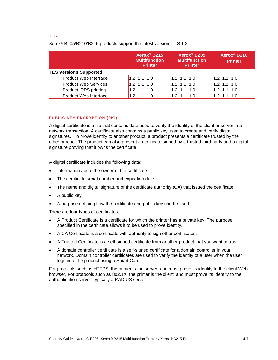#### <span id="page-16-0"></span>**TLS**

Xerox® B205/B210/B215 products support the latest version, TLS 1.2.

|                               | Xerox <sup>®</sup> B215<br><b>Multifunction</b><br><b>Printer</b> | Xerox <sup>®</sup> B205<br><b>Multifunction</b><br><b>Printer</b> | Xerox <sup>®</sup> B210<br><b>Printer</b> |
|-------------------------------|-------------------------------------------------------------------|-------------------------------------------------------------------|-------------------------------------------|
| <b>TLS Versions Supported</b> |                                                                   |                                                                   |                                           |
| <b>Product Web Interface</b>  | 1.2, 1.1, 1.0                                                     | 1.2, 1.1, 1.0                                                     | 1.2, 1.1, 1.0                             |
| <b>Product Web Services</b>   | 1.2, 1.1, 1.0                                                     | 1.2, 1.1, 1.0                                                     | 1.2, 1.1, 1.0                             |
| <b>Product IPPS printing</b>  | 1.2, 1.1, 1.0                                                     | 1.2, 1.1, 1.0                                                     | 1.2, 1.1, 1.0                             |
| <b>Product Web Interface</b>  | 1.2, 1.1, 1.0                                                     | 1.2, 1.1, 1.0                                                     | 1.2, 1.1, 1.0                             |

#### <span id="page-16-1"></span>**PUBLIC KEY ENCRYPTION (PKI)**

A digital certificate is a file that contains data used to verify the identity of the client or server in a network transaction. A certificate also contains a public key used to create and verify digital signatures. To prove identity to another product, a product presents a certificate trusted by the other product. The product can also present a certificate signed by a trusted third party and a digital signature proving that it owns the certificate.

A digital certificate includes the following data:

- Information about the owner of the certificate
- The certificate serial number and expiration date
- The name and digital signature of the certificate authority (CA) that issued the certificate
- A public key
- A purpose defining how the certificate and public key can be used

There are four types of certificates:

- A Product Certificate is a certificate for which the printer has a private key. The purpose specified in the certificate allows it to be used to prove identity.
- A CA Certificate is a certificate with authority to sign other certificates.
- A Trusted Certificate is a self-signed certificate from another product that you want to trust.
- A domain controller certificate is a self-signed certificate for a domain controller in your network. Domain controller certificates are used to verify the identity of a user when the user logs in to the product using a Smart Card.

For protocols such as HTTPS, the printer is the server, and must prove its identity to the client Web browser. For protocols such as 802.1X, the printer is the client, and must prove its identity to the authentication server, typically a RADIUS server.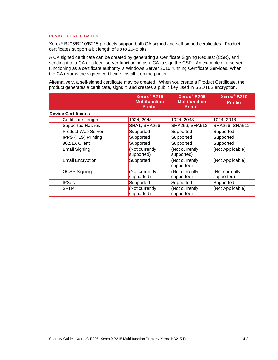#### <span id="page-17-0"></span>**DEVICE CERTIFICATES**

Xerox® B205/B210/B215 products support both CA signed and self-signed certificates. Product certificates support a bit length of up to 2048 bits.

A CA signed certificate can be created by generating a Certificate Signing Request (CSR), and sending it to a CA or a local server functioning as a CA to sign the CSR. An example of a server functioning as a certificate authority is Windows Server 2016 running Certificate Services. When the CA returns the signed certificate, install it on the printer.

Alternatively, a self-signed certificate may be created. When you create a Product Certificate, the product generates a certificate, signs it, and creates a public key used in SSL/TLS encryption.

|                            | Xerox <sup>®</sup> B215<br><b>Multifunction</b><br><b>Printer</b> | Xerox <sup>®</sup> B205<br><b>Multifunction</b><br><b>Printer</b> | Xerox <sup>®</sup> B210<br><b>Printer</b> |
|----------------------------|-------------------------------------------------------------------|-------------------------------------------------------------------|-------------------------------------------|
| <b>Device Certificates</b> |                                                                   |                                                                   |                                           |
| Certificate Length         | 1024, 2048                                                        | 1024, 2048                                                        | 1024, 2048                                |
| Supported Hashes           | SHA1, SHA256                                                      | SHA256, SHA512                                                    | SHA256, SHA512                            |
| <b>Product Web Server</b>  | Supported                                                         | Supported                                                         | Supported                                 |
| <b>IPPS (TLS) Printing</b> | Supported                                                         | Supported                                                         | Supported                                 |
| 802.1X Client              | Supported                                                         | Supported                                                         | Supported                                 |
| Email Signing              | Not currently<br>supported)                                       | (Not currently<br>supported)                                      | (Not Applicable)                          |
| <b>Email Encryption</b>    | Supported                                                         | (Not currently<br>supported)                                      | (Not Applicable)                          |
| <b>OCSP Signing</b>        | (Not currently<br>supported)                                      | (Not currently<br>supported)                                      | (Not currently<br>supported)              |
| <b>IPSec</b>               | Supported                                                         | Supported                                                         | Supported                                 |
| <b>SFTP</b>                | (Not currently<br>supported)                                      | (Not currently<br>supported)                                      | (Not Applicable)                          |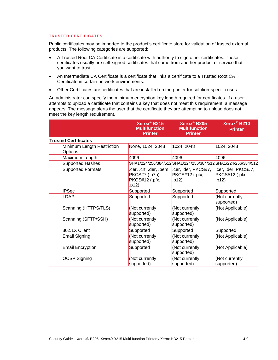#### <span id="page-18-0"></span>**TRUSTED CERTIFICATES**

Public certificates may be imported to the product's certificate store for validation of trusted external products. The following categories are supported:

- A Trusted Root CA Certificate is a certificate with authority to sign other certificates. These certificates usually are self-signed certificates that come from another product or service that you want to trust.
- An Intermediate CA Certificate is a certificate that links a certificate to a Trusted Root CA Certificate in certain network environments.
- Other Certificates are certificates that are installed on the printer for solution-specific uses.

An administrator can specify the minimum encryption key length required for certificates. If a user attempts to upload a certificate that contains a key that does not meet this requirement, a message appears. The message alerts the user that the certificate they are attempting to upload does not meet the key length requirement.

|                                              | Xerox <sup>®</sup> B215<br><b>Multifunction</b><br><b>Printer</b>                       | Xerox <sup>®</sup> B205<br><b>Multifunction</b><br><b>Printer</b> | Xerox <sup>®</sup> B210<br><b>Printer</b>      |
|----------------------------------------------|-----------------------------------------------------------------------------------------|-------------------------------------------------------------------|------------------------------------------------|
| <b>Trusted Certificates</b>                  |                                                                                         |                                                                   |                                                |
| Minimum Length Restriction<br><b>Options</b> | None, 1024, 2048                                                                        | 1024, 2048                                                        | 1024, 2048                                     |
| Maximum Length                               | 4096                                                                                    | 4096                                                              | 4096                                           |
| Supported Hashes                             |                                                                                         | SHA1/224/256/384/512SHA1/224/256/384/512SHA1/224/256/384/512      |                                                |
| <b>Supported Formats</b>                     | .cer, .crt, .der, .pem, Lcer, .der, PKCS#7,<br>PKCS#7 (.p7b),<br>PKCS#12 (.pfx,<br>p12) | PKCS#12 (.pfx,<br>.p12)                                           | .cer, .der, PKCS#7,<br>PKCS#12 (.pfx,<br>.p12) |
| <b>IPSec</b>                                 | Supported                                                                               | Supported                                                         | Supported                                      |
| LDAP                                         | Supported                                                                               | Supported                                                         | (Not currently<br>supported)                   |
| Scanning (HTTPS/TLS)                         | (Not currently<br>supported)                                                            | (Not currently<br>supported)                                      | (Not Applicable)                               |
| Scanning (SFTP/SSH)                          | (Not currently<br>supported)                                                            | (Not currently<br>supported)                                      | (Not Applicable)                               |
| 802.1X Client                                | Supported                                                                               | Supported                                                         | Supported                                      |
| <b>Email Signing</b>                         | (Not currently<br>supported)                                                            | (Not currently<br>supported)                                      | (Not Applicable)                               |
| <b>Email Encryption</b>                      | Supported                                                                               | (Not currently<br>supported)                                      | (Not Applicable)                               |
| <b>OCSP Signing</b>                          | (Not currently<br>supported)                                                            | (Not currently<br>supported)                                      | (Not currently<br>supported)                   |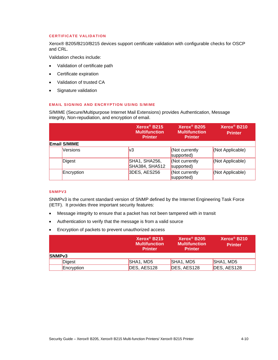#### <span id="page-19-0"></span>**CERTIFICATE VALIDATION**

Xerox® B205/B210/B215 devices support certificate validation with configurable checks for OSCP and CRL.

Validation checks include:

- Validation of certificate path
- Certificate expiration
- Validation of trusted CA
- Signature validation

#### <span id="page-19-1"></span>**EMAIL SIGNING AND ENCRYPTION USING S/MIME**

S/MIME (Secure/Multipurpose Internet Mail Extensions) provides Authentication, Message integrity, Non-repudiation, and encryption of email.

|                     | Xerox <sup>®</sup> B215<br><b>Multifunction</b><br><b>Printer</b> | Xerox <sup>®</sup> B205<br><b>Multifunction</b><br><b>Printer</b> | Xerox <sup>®</sup> B210<br><b>Printer</b> |
|---------------------|-------------------------------------------------------------------|-------------------------------------------------------------------|-------------------------------------------|
| <b>Email S/MIME</b> |                                                                   |                                                                   |                                           |
| <b>Versions</b>     | lv3                                                               | Kot currently<br>supported)                                       | (Not Applicable)                          |
| Digest              | SHA1, SHA256,<br>SHA384, SHA512                                   | Kot currently<br>supported)                                       | (Not Applicable)                          |
| Encryption          | 3DES, AES256                                                      | Not currently<br>supported)                                       | (Not Applicable)                          |

#### <span id="page-19-2"></span>**SNMPV3**

SNMPv3 is the current standard version of SNMP defined by the Internet Engineering Task Force (IETF). It provides three important security features:

- Message integrity to ensure that a packet has not been tampered with in transit
- Authentication to verify that the message is from a valid source
- Encryption of packets to prevent unauthorized access

|                    | Xerox <sup>®</sup> B215<br><b>Multifunction</b><br><b>Printer</b> | Xerox <sup>®</sup> B205<br><b>Multifunction</b><br><b>Printer</b> | Xerox <sup>®</sup> B210<br><b>Printer</b> |
|--------------------|-------------------------------------------------------------------|-------------------------------------------------------------------|-------------------------------------------|
| SNMP <sub>v3</sub> |                                                                   |                                                                   |                                           |
| Digest             | SHA1, MD5                                                         | SHA1, MD5                                                         | SHA1, MD5                                 |
| Encryption         | DES, AES128                                                       | DES, AES128                                                       | DES, AES128                               |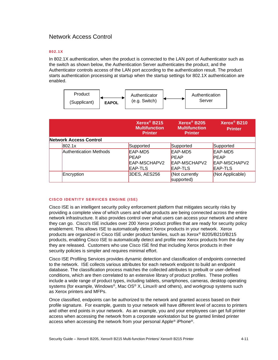# <span id="page-20-0"></span>Network Access Control

#### <span id="page-20-1"></span>**802. 1X**

In 802.1X authentication, when the product is connected to the LAN port of Authenticator such as the switch as shown below, the Authentication Server authenticates the product, and the Authenticator controls access of the LAN port according to the authentication result. The product starts authentication processing at startup when the startup settings for 802.1X authentication are enabled.



|                               | Xerox <sup>®</sup> B215<br><b>Multifunction</b><br><b>Printer</b> | Xerox <sup>®</sup> B205<br><b>Multifunction</b><br><b>Printer</b> | Xerox <sup>®</sup> B210<br><b>Printer</b> |
|-------------------------------|-------------------------------------------------------------------|-------------------------------------------------------------------|-------------------------------------------|
| <b>Network Access Control</b> |                                                                   |                                                                   |                                           |
| 802.1x                        | Supported                                                         | Supported                                                         | Supported                                 |
| <b>Authentication Methods</b> | EAP-MD5                                                           | EAP-MD5                                                           | EAP-MD5                                   |
|                               | <b>PEAP</b>                                                       | <b>PEAP</b>                                                       | <b>PEAP</b>                               |
|                               | EAP-MSCHAPV2                                                      | EAP-MSCHAPV2                                                      | EAP-MSCHAPV2                              |
|                               | EAP-TLS                                                           | <b>EAP-TLS</b>                                                    | EAP-TLS                                   |
| Encryption                    | 3DES, AES256                                                      | (Not currently                                                    | (Not Applicable)                          |
|                               |                                                                   | supported)                                                        |                                           |

#### <span id="page-20-2"></span>**CISCO IDENTITY SERVICES ENGINE (ISE)**

Cisco ISE is an intelligent security policy enforcement platform that mitigates security risks by providing a complete view of which users and what products are being connected across the entire network infrastructure. It also provides control over what users can access your network and where they can go. Cisco's ISE includes over 200 Xerox product profiles that are ready for security policy enablement. This allows ISE to automatically detect Xerox products in your network. Xerox products are organized in Cisco ISE under product families, such as Xerox® B205/B210/B215 products, enabling Cisco ISE to automatically detect and profile new Xerox products from the day they are released. Customers who use Cisco ISE find that including Xerox products in their security policies is simpler and requires minimal effort.

Cisco ISE Profiling Services provides dynamic detection and classification of endpoints connected to the network. ISE collects various attributes for each network endpoint to build an endpoint database. The classification process matches the collected attributes to prebuilt or user-defined conditions, which are then correlated to an extensive library of product profiles. These profiles include a wide range of product types, including tablets, smartphones, cameras, desktop operating systems (for example, Windows®, Mac OS® X, Linux® and others), and workgroup systems such as Xerox printers and MFPs.

Once classified, endpoints can be authorized to the network and granted access based on their profile signature. For example, guests to your network will have different level of access to printers and other end points in your network. As an example, you and your employees can get full printer access when accessing the network from a corporate workstation but be granted limited printer access when accessing the network from your personal Apple® iPhone®.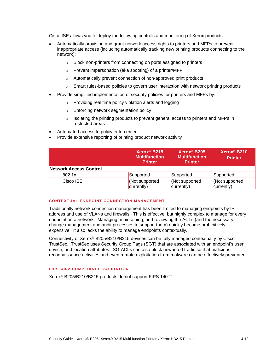Cisco ISE allows you to deploy the following controls and monitoring of Xerox products:

- Automatically provision and grant network access rights to printers and MFPs to prevent inappropriate access (including automatically tracking new printing products connecting to the network):
	- o Block non-printers from connecting on ports assigned to printers
	- o Prevent impersonation (aka spoofing) of a printer/MFP
	- o Automatically prevent connection of non-approved print products
	- $\circ$  Smart rules-based policies to govern user interaction with network printing products
- Provide simplified implementation of security policies for printers and MFPs by:
	- o Providing real time policy violation alerts and logging
	- o Enforcing network segmentation policy
	- $\circ$  Isolating the printing products to prevent general access to printers and MFPs in restricted areas
- Automated access to policy enforcement
- Provide extensive reporting of printing product network activity

|                               | Xerox <sup>®</sup> B215<br><b>Multifunction</b><br><b>Printer</b> | Xerox <sup>®</sup> B205<br><b>Multifunction</b><br><b>Printer</b> | Xerox <sup>®</sup> B210<br><b>Printer</b> |
|-------------------------------|-------------------------------------------------------------------|-------------------------------------------------------------------|-------------------------------------------|
| <b>Network Access Control</b> |                                                                   |                                                                   |                                           |
| 802.1x                        | Supported                                                         | Supported                                                         | Supported                                 |
| Cisco ISE                     | Not supported<br>currently)                                       | Not supported<br>currently)                                       | Not supported<br>currently)               |

#### <span id="page-21-0"></span>**CONTEXTUAL ENDPOINT CONNECTION MANAGEMENT**

Traditionally network connection management has been limited to managing endpoints by IP address and use of VLANs and firewalls. This is effective, but highly complex to manage for every endpoint on a network. Managing, maintaining, and reviewing the ACLs (and the necessary change management and audit processes to support them) quickly become prohibitively expensive. It also lacks the ability to manage endpoints contextually.

Connectivity of Xerox® B205/B210/B215 devices can be fully managed contextually by Cisco TrustSec. TrustSec uses Security Group Tags (SGT) that are associated with an endpoint's user, device, and location attributes. SG-ACLs can also block unwanted traffic so that malicious reconnaissance activities and even remote exploitation from malware can be effectively prevented.

#### <span id="page-21-1"></span>**FIPS140-2 COMPLIANCE VALIDATION**

Xerox® B205/B210/B215 products do not support FIPS 140-2.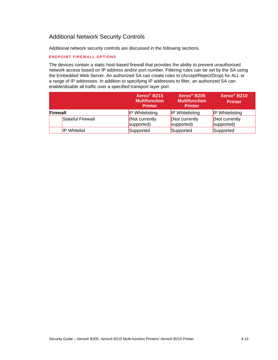# <span id="page-22-0"></span>Additional Network Security Controls

Additional network security controls are discussed in the following sections.

#### **ENDPOINT FIREWALL OPTIONS**

The devices contain a static host-based firewall that provides the ability to prevent unauthorized network access based on IP address and/or port number. Filtering rules can be set by the SA using the Embedded Web Server. An authorized SA can create rules to (Accept/Reject/Drop) for ALL or a range of IP addresses. In addition to specifying IP addresses to filter, an authorized SA can enable/disable all traffic over a specified transport layer port.

|                     | Xerox <sup>®</sup> B215<br><b>Multifunction</b><br><b>Printer</b> | Xerox <sup>®</sup> B205<br><b>Multifunction</b><br><b>Printer</b> | Xerox <sup>®</sup> B210<br><b>Printer</b> |
|---------------------|-------------------------------------------------------------------|-------------------------------------------------------------------|-------------------------------------------|
| Firewall            | <b>IP Whitelisting</b>                                            | <b>IP Whitelisting</b>                                            | <b>IP Whitelisting</b>                    |
| Stateful Firewall   | Not currently<br>supported)                                       | Not currently<br>supported)                                       | Not currently<br>supported)               |
| <b>IP Whitelist</b> | Supported                                                         | Supported                                                         | Supported                                 |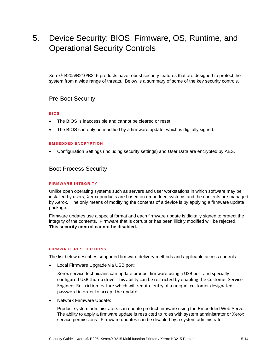# <span id="page-23-0"></span>5. Device Security: BIOS, Firmware, OS, Runtime, and Operational Security Controls

Xerox® B205/B210/B215 products have robust security features that are designed to protect the system from a wide range of threats. Below is a summary of some of the key security controls.

### <span id="page-23-1"></span>Pre-Boot Security

#### <span id="page-23-2"></span>**BIOS**

- The BIOS is inaccessible and cannot be cleared or reset.
- The BIOS can only be modified by a firmware update, which is digitally signed.

#### <span id="page-23-3"></span>**EMBEDDED ENCRYPTION**

<span id="page-23-4"></span>• Configuration Settings (including security settings) and User Data are encrypted by AES.

### Boot Process Security

#### <span id="page-23-5"></span>**FIRMWARE INTEGRITY**

Unlike open operating systems such as servers and user workstations in which software may be installed by users, Xerox products are based on embedded systems and the contents are managed by Xerox. The only means of modifying the contents of a device is by applying a firmware update package.

Firmware updates use a special format and each firmware update is digitally signed to protect the integrity of the contents. Firmware that is corrupt or has been illicitly modified will be rejected. **This security control cannot be disabled.**

#### <span id="page-23-6"></span>**FIRMWARE RESTRICTIONS**

The list below describes supported firmware delivery methods and applicable access controls.

• Local Firmware Upgrade via USB port:

Xerox service technicians can update product firmware using a USB port and specially configured USB thumb drive. This ability can be restricted by enabling the Customer Service Engineer Restriction feature which will require entry of a unique, customer designated password in order to accept the update.

• Network Firmware Update:

Product system administrators can update product firmware using the Embedded Web Server. The ability to apply a firmware update is restricted to roles with system administrator or Xerox service permissions. Firmware updates can be disabled by a system administrator.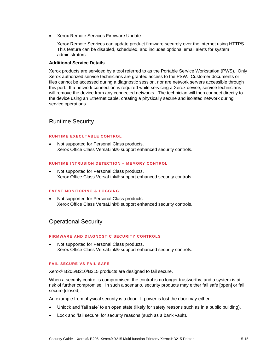• Xerox Remote Services Firmware Update:

Xerox Remote Services can update product firmware securely over the internet using HTTPS. This feature can be disabled, scheduled, and includes optional email alerts for system administrators.

#### **Additional Service Details**

Xerox products are serviced by a tool referred to as the Portable Service Workstation (PWS). Only Xerox authorized service technicians are granted access to the PSW. Customer documents or files cannot be accessed during a diagnostic session, nor are network servers accessible through this port. If a network connection is required while servicing a Xerox device, service technicians will remove the device from any connected networks. The technician will then connect directly to the device using an Ethernet cable, creating a physically secure and isolated network during service operations.

### <span id="page-24-0"></span>Runtime Security

#### <span id="page-24-1"></span>**RUNTIME EXECUTABLE CONTROL**

• Not supported for Personal Class products. Xerox Office Class VersaLink® support enhanced security controls.

#### <span id="page-24-2"></span>**RUNTIME INTRUSION DETECTION – MEMORY CONTROL**

• Not supported for Personal Class products. Xerox Office Class VersaLink® support enhanced security controls.

#### <span id="page-24-3"></span>**EVENT MONITORING & LOGGING**

• Not supported for Personal Class products. Xerox Office Class VersaLink® support enhanced security controls.

### <span id="page-24-4"></span>Operational Security

#### <span id="page-24-5"></span>**FIRMWARE AND DIAGNOSTIC SECURITY CONTROLS**

• Not supported for Personal Class products. Xerox Office Class VersaLink® support enhanced security controls.

#### <span id="page-24-6"></span>**FAIL SECURE VS FAIL SAFE**

Xerox® B205/B210/B215 products are designed to fail secure.

When a security control is compromised, the control is no longer trustworthy, and a system is at risk of further compromise. In such a scenario, security products may either fail safe [open] or fail secure [closed].

An example from physical security is a door. If power is lost the door may either:

- Unlock and 'fail safe' to an open state (likely for safety reasons such as in a public building).
- Lock and 'fail secure' for security reasons (such as a bank vault).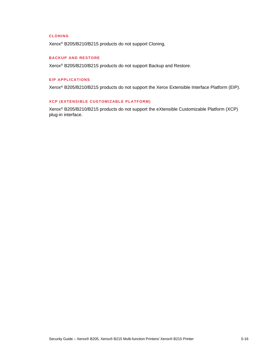#### <span id="page-25-0"></span>**CLONI NG**

Xerox® B205/B210/B215 products do not support Cloning.

#### <span id="page-25-1"></span>**BACKUP AND RESTORE**

Xerox® B205/B210/B215 products do not support Backup and Restore.

#### <span id="page-25-2"></span>**EIP APPLICATIONS**

Xerox® B205/B210/B215 products do not support the Xerox Extensible Interface Platform (EIP).

#### <span id="page-25-3"></span>**XCP (EXTENSIBLE CUSTOMIZABLE PLATFORM)**

Xerox® B205/B210/B215 products do not support the eXtensible Customizable Platform (XCP) plug-in interface.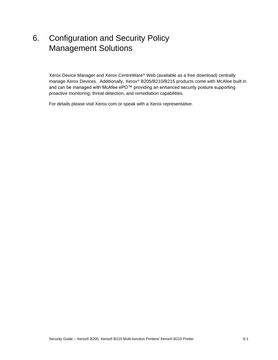# <span id="page-26-0"></span>6. Configuration and Security Policy Management Solutions

Xerox Device Manager and Xerox CentreWare® Web (available as a free download) centrally manage Xerox Devices. Additionally, Xerox® B205/B210/B215 products come with McAfee built in and can be managed with McAfee ePO™ providing an enhanced security posture supporting proactive monitoring, threat detection, and remediation capabilities.

For details please visit Xerox.com or speak with a Xerox representative.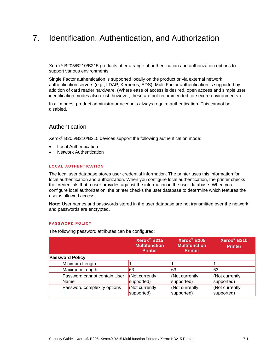# <span id="page-27-0"></span>7. Identification, Authentication, and Authorization

Xerox® B205/B210/B215 products offer a range of authentication and authorization options to support various environments.

Single Factor authentication is supported locally on the product or via external network authentication servers (e.g., LDAP, Kerberos, ADS). Multi Factor authentication is supported by addition of card reader hardware. (Where ease of access is desired, open access and simple user identification modes also exist, however, these are not recommended for secure environments.)

In all modes, product administrator accounts always require authentication. This cannot be disabled.

#### <span id="page-27-1"></span>Authentication

Xerox® B205/B210/B215 devices support the following authentication mode:

- Local Authentication
- Network Authentication

#### <span id="page-27-2"></span>**LOCAL AUTHENTICATION**

The local user database stores user credential information. The printer uses this information for local authentication and authorization. When you configure local authentication, the printer checks the credentials that a user provides against the information in the user database. When you configure local authorization, the printer checks the user database to determine which features the user is allowed access.

**Note:** User names and passwords stored in the user database are not transmitted over the network and passwords are encrypted.

#### <span id="page-27-3"></span>**PASSWORD POLICY**

The following password attributes can be configured:

|                                             | Xerox <sup>®</sup> B215<br><b>Multifunction</b><br><b>Printer</b> | Xerox <sup>®</sup> B205<br><b>Multifunction</b><br><b>Printer</b> | Xerox <sup>®</sup> B210<br><b>Printer</b> |
|---------------------------------------------|-------------------------------------------------------------------|-------------------------------------------------------------------|-------------------------------------------|
| <b>Password Policy</b>                      |                                                                   |                                                                   |                                           |
| Minimum Length                              |                                                                   |                                                                   |                                           |
| Maximum Length                              | 63                                                                | 63                                                                | 63                                        |
| Password cannot contain User<br><b>Name</b> | Not currently<br>supported)                                       | Not currently<br>supported)                                       | Not currently<br>supported)               |
| Password complexity options                 | (Not currently<br>supported)                                      | Not currently<br>supported)                                       | Not currently<br>supported)               |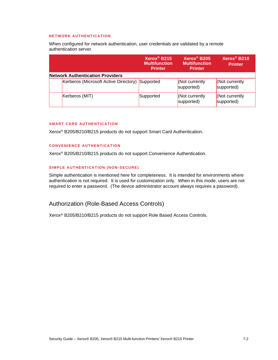#### <span id="page-28-0"></span>**NETWORK AUTHENTICATION**

When configured for network authentication, user credentials are validated by a remote authentication server.

|                                         | $Xerox^@$ B215<br><b>Multifunction</b><br><b>Printer</b> | Xerox <sup>®</sup> B205<br><b>Multifunction</b><br><b>Printer</b> | Xerox <sup>®</sup> B210<br><b>Printer</b> |
|-----------------------------------------|----------------------------------------------------------|-------------------------------------------------------------------|-------------------------------------------|
| <b>Network Authentication Providers</b> |                                                          |                                                                   |                                           |
| Kerberos (Microsoft Active Directory)   | Supported                                                | <b>Not currently</b><br>supported)                                | (Not currently<br>supported)              |
| Kerberos (MIT)                          | Supported                                                | <b>Not currently</b><br>supported)                                | (Not currently<br>supported)              |

#### <span id="page-28-1"></span>**SMART CARD AUTHENTICATION**

Xerox® B205/B210/B215 products do not support Smart Card Authentication.

#### <span id="page-28-2"></span>**CONVENIENCE AUTHENTICATION**

Xerox® B205/B210/B215 products do not support Convenience Authentication.

#### <span id="page-28-3"></span>**SIMPLE AUTHENTICATION (NON -SECURE)**

Simple authentication is mentioned here for completeness. It is intended for environments where authentication is not required. It is used for customization only. When in this mode, users are not required to enter a password. (The device administrator account always requires a password).

# <span id="page-28-4"></span>Authorization (Role-Based Access Controls)

Xerox® B205/B210/B215 products do not support Role Based Access Controls.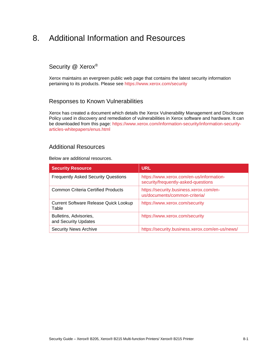# <span id="page-29-0"></span>8. Additional Information and Resources

# <span id="page-29-1"></span>Security @ Xerox®

Xerox maintains an evergreen public web page that contains the latest security information pertaining to its products. Please see<https://www.xerox.com/security>

# <span id="page-29-2"></span>Responses to Known Vulnerabilities

Xerox has created a document which details the Xerox Vulnerability Management and Disclosure Policy used in discovery and remediation of vulnerabilities in Xerox software and hardware. It can be downloaded from this page: [https://www.xerox.com/information-security/information-security](https://www.xerox.com/information-security/information-security-articles-whitepapers/enus.html)[articles-whitepapers/enus.html](https://www.xerox.com/information-security/information-security-articles-whitepapers/enus.html)

### <span id="page-29-3"></span>Additional Resources

Below are additional resources.

| <b>Security Resource</b>                              | <b>URL</b>                                                                      |
|-------------------------------------------------------|---------------------------------------------------------------------------------|
| <b>Frequently Asked Security Questions</b>            | https://www.xerox.com/en-us/information-<br>security/frequently-asked-questions |
| <b>Common Criteria Certified Products</b>             | https://security.business.xerox.com/en-<br>us/documents/common-criteria/        |
| <b>Current Software Release Quick Lookup</b><br>Table | https://www.xerox.com/security                                                  |
| Bulletins, Advisories,<br>and Security Updates        | https://www.xerox.com/security                                                  |
| <b>Security News Archive</b>                          | https://security.business.xerox.com/en-us/news/                                 |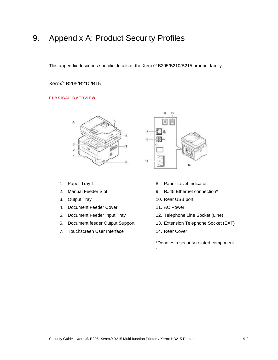# <span id="page-30-0"></span>9. Appendix A: Product Security Profiles

<span id="page-30-1"></span>This appendix describes specific details of the Xerox® B205/B210/B215 product family.

# Xerox® B205/B210/B15

#### <span id="page-30-2"></span>**PHYSICAL OVERVIEW**



- 1. Paper Tray 1
- 2. Manual Feeder Slot
- 3. Output Tray
- 4. Document Feeder Cover
- 5. Document Feeder Input Tray
- 6. Document feeder Output Support
- 7. Touchscreen User Interface



- 8. Paper Level Indicator
- 9. RJ45 Ethernet connection\*
- 10. Rear USB port
- 11. AC Power
- 12. Telephone Line Socket (Line)
- 13. Extension Telephone Socket (EXT)
- 14. Rear Cover

.

\*Denotes a security related component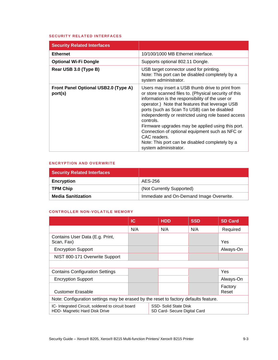#### <span id="page-31-0"></span>**SECURITY RELATED INTERFACES**

| <b>Security Related Interfaces</b>                     |                                                                                                                                                                                                                                                                                                                                                                                                                                                                                                                                         |
|--------------------------------------------------------|-----------------------------------------------------------------------------------------------------------------------------------------------------------------------------------------------------------------------------------------------------------------------------------------------------------------------------------------------------------------------------------------------------------------------------------------------------------------------------------------------------------------------------------------|
| <b>Ethernet</b>                                        | 10/100/1000 MB Ethernet interface.                                                                                                                                                                                                                                                                                                                                                                                                                                                                                                      |
| <b>Optional Wi-Fi Dongle</b>                           | Supports optional 802.11 Dongle.                                                                                                                                                                                                                                                                                                                                                                                                                                                                                                        |
| Rear USB 3.0 (Type B)                                  | USB target connector used for printing.<br>Note: This port can be disabled completely by a<br>system administrator.                                                                                                                                                                                                                                                                                                                                                                                                                     |
| <b>Front Panel Optional USB2.0 (Type A)</b><br>port(s) | Users may insert a USB thumb drive to print from<br>or store scanned files to. (Physical security of this<br>information is the responsibility of the user or<br>operator.) Note that features that leverage USB<br>ports (such as Scan To USB) can be disabled<br>independently or restricted using role based access<br>controls.<br>Firmware upgrades may be applied using this port.<br>Connection of optional equipment such as NFC or<br>CAC readers.<br>Note: This port can be disabled completely by a<br>system administrator. |

### <span id="page-31-1"></span>**ENCRYPTION AND OVERWRITE**

| <b>Security Related Interfaces</b> |                                          |
|------------------------------------|------------------------------------------|
| <b>Encryption</b>                  | AES-256                                  |
| <b>TPM Chip</b>                    | (Not Currently Supported)                |
| <b>Media Sanitization</b>          | Immediate and On-Demand Image Overwrite. |

#### <span id="page-31-2"></span>**CONTROLLER NON-VOLATILE MEMORY**

|                                                                                          | <b>IC</b> |  | <b>HDD</b>                                            | <b>SSD</b> | <b>SD Card</b>   |
|------------------------------------------------------------------------------------------|-----------|--|-------------------------------------------------------|------------|------------------|
|                                                                                          | N/A       |  | N/A                                                   | N/A        | Required         |
| Contains User Data (E.g. Print,<br>Scan, Fax)                                            |           |  |                                                       |            | Yes              |
| <b>Encryption Support</b>                                                                |           |  |                                                       |            | Always-On        |
| NIST 800-171 Overwrite Support                                                           |           |  |                                                       |            |                  |
|                                                                                          |           |  |                                                       |            |                  |
| <b>Contains Configuration Settings</b>                                                   |           |  |                                                       |            | Yes              |
| <b>Encryption Support</b>                                                                |           |  |                                                       |            | Always-On        |
| <b>Customer Erasable</b>                                                                 |           |  |                                                       |            | Factory<br>Reset |
| Note: Configuration settings may be erased by the reset to factory defaults feature.     |           |  |                                                       |            |                  |
| IC-Integrated Circuit, soldered to circuit board<br><b>HDD- Magnetic Hard Disk Drive</b> |           |  | SSD- Solid State Disk<br>SD Card- Secure Digital Card |            |                  |